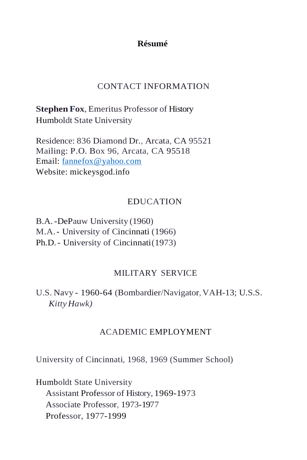# **Résumé**

# CONTACT INFORMATION

**Stephen Fox**, Emeritus Professor of History Humboldt State University

Residence: 836 Diamond Dr., Arcata, CA 95521 Mailing: P.O. Box 96, Arcata, CA 95518 Email: [fannefox@yahoo.com](mailto:fannefox@yahoo.com) Website: mickeysgod.info

## EDUCATION

B.A.-DePauw University (1960) M.A.- University of Cincinnati (1966) Ph.D.- University of Cincinnati(1973)

#### MILITARY SERVICE

U.S. Navy - 1960-64 (Bombardier/Navigator,VAH-13; U.S.S. *Kitty Hawk)*

#### ACADEMIC EMPLOYMENT

University of Cincinnati, 1968, 1969 (Summer School)

Humboldt State University Assistant Professor of History, 1969-1973 Associate Professor, 1973-1977 Professor, 1977-1999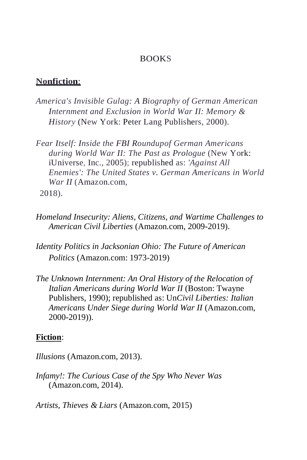## **BOOKS**

#### **Nonfiction**:

- *America's Invisible Gulag: A Biography of German American Internment and Exclusion in World War II: Memory & History* (New York: Peter Lang Publishers, 2000).
- *Fear Itself: Inside the FBI Roundupof German Americans during World War II: The Past as Prologue* (New York: iUniverse, Inc., 2005); republished as: *'Against All Enemies': The United States v. German Americans in World War II* (Amazon.com, 2018).
- *Homeland Insecurity: Aliens, Citizens, and Wartime Challenges to American Civil Liberties* (Amazon.com, 2009-2019).
- *Identity Politics in Jacksonian Ohio: The Future of American Politics* (Amazon.com: 1973-2019)
- *The Unknown Internment: An Oral History of the Relocation of Italian Americans during World War II* (Boston: Twayne Publishers, 1990); republished as: Un*Civil Liberties: Italian Americans Under Siege during World War II* (Amazon.com, 2000-2019)).

#### **Fiction**:

*Illusions* (Amazon.com, 2013).

*Infamy!: The Curious Case of the Spy Who Never Was*  (Amazon.com, 2014).

*Artists, Thieves & Liars* (Amazon.com, 2015)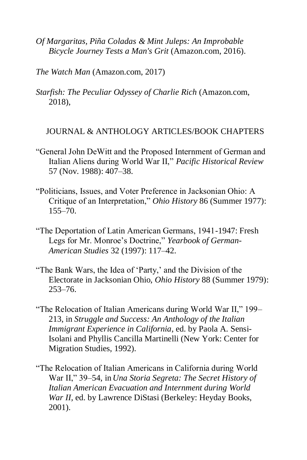- *Of Margaritas, Piña Coladas & Mint Juleps: An Improbable Bicycle Journey Tests a Man's Grit* (Amazon.com, 2016).
- *The Watch Man* (Amazon.com, 2017)
- *Starfish: The Peculiar Odyssey of Charlie Rich* (Amazon.com, 2018),

# JOURNAL & ANTHOLOGY ARTICLES/BOOK CHAPTERS

- "General John DeWitt and the Proposed Internment of German and Italian Aliens during World War II," *Pacific Historical Review*  57 (Nov. 1988): 407–38.
- "Politicians, Issues, and Voter Preference in Jacksonian Ohio: A Critique of an Interpretation," *Ohio History* 86 (Summer 1977): 155–70.
- "The Deportation of Latin American Germans, 1941-1947: Fresh Legs for Mr. Monroe's Doctrine," *Yearbook of German-American Studies* 32 (1997): 117–42.
- "The Bank Wars, the Idea of 'Party,' and the Division of the Electorate in Jacksonian Ohio, *Ohio History* 88 (Summer 1979): 253–76.
- "The Relocation of Italian Americans during World War II," 199– 213, in *Struggle and Success: An Anthology of the Italian Immigrant Experience in California*, ed. by Paola A. Sensi-Isolani and Phyllis Cancilla Martinelli (New York: Center for Migration Studies, 1992).
- "The Relocation of Italian Americans in California during World War II," 39–54, in *Una Storia Segreta: The Secret History of Italian American Evacuation and Internment during World War II, ed. by Lawrence DiStasi (Berkeley: Heyday Books,* 2001).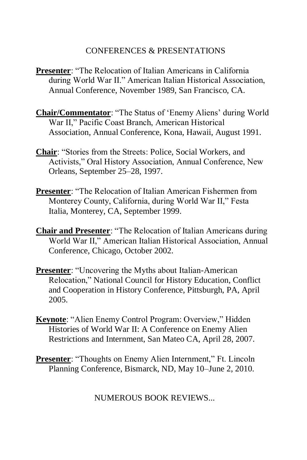# CONFERENCES & PRESENTATIONS

- **Presenter**: "The Relocation of Italian Americans in California during World War II." American Italian Historical Association, Annual Conference, November 1989, San Francisco, CA.
- **Chair/Commentator**: "The Status of 'Enemy Aliens' during World War II," Pacific Coast Branch, American Historical Association, Annual Conference, Kona, Hawaii, August 1991.
- **Chair**: "Stories from the Streets: Police, Social Workers, and Activists," Oral History Association, Annual Conference, New Orleans, September 25–28, 1997.
- **Presenter**: "The Relocation of Italian American Fishermen from Monterey County, California, during World War II," Festa Italia, Monterey, CA, September 1999.
- **Chair and Presenter**: "The Relocation of Italian Americans during World War II," American Italian Historical Association, Annual Conference, Chicago, October 2002.
- **Presenter:** "Uncovering the Myths about Italian-American Relocation," National Council for History Education, Conflict and Cooperation in History Conference, Pittsburgh, PA, April 2005.
- **Keynote**: "Alien Enemy Control Program: Overview," Hidden Histories of World War II: A Conference on Enemy Alien Restrictions and Internment, San Mateo CA, April 28, 2007.
- **Presenter**: "Thoughts on Enemy Alien Internment," Ft. Lincoln Planning Conference, Bismarck, ND, May 10–June 2, 2010.

NUMEROUS BOOK REVIEWS...